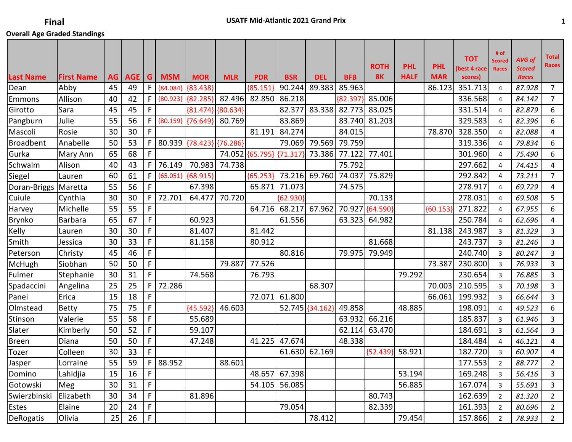| <b>Last Name</b> | <b>First Name</b> | AG | <b>AGE</b> | G.          | <b>MSM</b>   | <b>MOR</b>                 | <b>MLR</b> | <b>PDR</b>               | <b>BSR</b> | <b>DEL</b>      | <b>BFB</b> | <b>ROTH</b><br><b>8K</b> | <b>PHL</b><br><b>HALF</b> | <b>PHL</b><br><b>MAR</b> | <b>TOT</b><br>(best 4 race<br>scores) | # of<br><b>Scored</b><br><b>Races</b> | AVG of<br><b>Scored</b><br><b>Races</b> | <b>Total</b><br><b>Races</b> |
|------------------|-------------------|----|------------|-------------|--------------|----------------------------|------------|--------------------------|------------|-----------------|------------|--------------------------|---------------------------|--------------------------|---------------------------------------|---------------------------------------|-----------------------------------------|------------------------------|
| Dean             | Abby              | 45 | 49         | F           | ${84.084}$   | ${83.438}$                 |            | ${85.151}$               | 90.244     | 89.383          | 85.963     |                          |                           | 86.123                   | 351.713                               | 4                                     | 87.928                                  | $\overline{7}$               |
| Emmons           | Allison           | 40 | 42         | F.          | ${80.923}$   | $\{82.285\}$               | 82.496     | 82.850                   | 86.218     |                 | ${82.397}$ | 85.006                   |                           |                          | 336.568                               | 4                                     | 84.142                                  | $\overline{7}$               |
| Girotto          | Sara              | 45 | 45         | F.          |              | ${81.474}$ ${80.634}$      |            |                          | 82.377     | 83.338          | 82.773     | 83.025                   |                           |                          | 331.514                               | 4                                     | 82.879                                  | 6                            |
| Pangburn         | Julie             | 55 | 56         | F.          | ${80.159}$   | $\{76.649\}$               | 80.769     |                          | 83.869     |                 | 83.740     | 81.203                   |                           |                          | 329.583                               | 4                                     | 82.396                                  | 6                            |
| Mascoli          | Rosie             | 30 | 30         | F.          |              |                            |            | 81.191                   | 84.274     |                 | 84.015     |                          |                           | 78.870                   | 328.350                               | 4                                     | 82.088                                  | 4                            |
| <b>Broadbent</b> | Anabelle          | 50 | 53         |             |              | F 80.939 {78.423} {76.286} |            |                          | 79.069     | 79.569          | 79.759     |                          |                           |                          | 319.336                               | 4                                     | 79.834                                  | 6                            |
| Gurka            | Mary Ann          | 65 | 68         | F           |              |                            |            | 74.052 {65.795} {71.317} |            | 73.386          | 77.122     | 77.401                   |                           |                          | 301.960                               | $\overline{4}$                        | 75.490                                  | 6                            |
| Schwalm          | Alison            | 40 | 43         | $F \mid$    | 76.149       | 70.983                     | 74.738     |                          |            |                 | 75.792     |                          |                           |                          | 297.662                               | 4                                     | 74.415                                  | 4                            |
| Siegel           | Lauren            | 60 | 61         | $F \mid$    |              | {65.051} {68.915}          |            | ${65.253}$               | 73.216     | 69.760          | 74.037     | 75.829                   |                           |                          | 292.842                               | $\overline{4}$                        | 73.211                                  | $\overline{7}$               |
| Doran-Briggs     | Maretta           | 55 | 56         | F.          |              | 67.398                     |            | 65.871                   | 71.073     |                 | 74.575     |                          |                           |                          | 278.917                               | $\overline{4}$                        | 69.729                                  | 4                            |
| Cuiule           | Cynthia           | 30 | 30         | F           | 72.701       | 64.477                     | 70.720     |                          | ${62.930}$ |                 |            | 70.133                   |                           |                          | 278.031                               | 4                                     | 69.508                                  | 5                            |
| Harvey           | Michelle          | 55 | 55         | F           |              |                            |            | 64.716                   | 68.217     | 67.962          |            | 70.927 {64.590}          |                           | ${60.153}$               | 271.822                               | $\overline{4}$                        | 67.955                                  | 6                            |
| Brynko           | <b>Barbara</b>    | 65 | 67         | F           |              | 60.923                     |            |                          | 61.556     |                 | 63.323     | 64.982                   |                           |                          | 250.784                               | 4                                     | 62.696                                  | 4                            |
| Kelly            | Lauren            | 30 | 30         | F           |              | 81.407                     |            | 81.442                   |            |                 |            |                          |                           | 81.138                   | 243.987                               | 3                                     | 81.329                                  | 3                            |
| Smith            | Jessica           | 30 | 33         | F           |              | 81.158                     |            | 80.912                   |            |                 |            | 81.668                   |                           |                          | 243.737                               | 3                                     | 81.246                                  | 3                            |
| Peterson         | Christy           | 45 | 46         | F           |              |                            |            |                          | 80.816     |                 | 79.975     | 79.949                   |                           |                          | 240.740                               | $\overline{3}$                        | 80.247                                  | 3                            |
| <b>McHugh</b>    | Siobhan           | 50 | 50         | F.          |              |                            | 79.887     | 77.526                   |            |                 |            |                          |                           | 73.387                   | 230.800                               | 3                                     | 76.933                                  | 3                            |
| Fulmer           | Stephanie         | 30 | 31         | F           |              | 74.568                     |            | 76.793                   |            |                 |            |                          | 79.292                    |                          | 230.654                               | 3                                     | 76.885                                  | 3                            |
| Spadaccini       | Angelina          | 25 | 25         | F           | 72.286       |                            |            |                          |            | 68.307          |            |                          |                           | 70.003                   | 210.595                               | 3                                     | 70.198                                  | 3                            |
| Panei            | Erica             | 15 | 18         | F.          |              |                            |            | 72.071                   | 61.800     |                 |            |                          |                           | 66.061                   | 199.932                               | 3                                     | 66.644                                  | 3                            |
| Olmstead         | Betty             | 75 | 75         | F           |              | ${45.592}$                 | 46.603     |                          |            | 52.745 {34.162} | 49.858     |                          | 48.885                    |                          | 198.091                               | 4                                     | 49.523                                  | 6                            |
| Stinson          | Valerie           | 55 | 58         | F           |              | 55.689                     |            |                          |            |                 | 63.932     | 66.216                   |                           |                          | 185.837                               | 3                                     | 61.946                                  | 3                            |
| Slater           | Kimberly          | 50 | 52         | F.          |              | 59.107                     |            |                          |            |                 | 62.114     | 63.470                   |                           |                          | 184.691                               | 3                                     | 61.564                                  | 3                            |
| Breen            | Diana             | 50 | 50         | F.          |              | 47.248                     |            | 41.225                   | 47.674     |                 | 48.338     |                          |                           |                          | 184.484                               | 4                                     | 46.121                                  | 4                            |
| Tozer            | Colleen           | 30 | 33         | F.          |              |                            |            |                          | 61.630     | 62.169          |            | ${52.439}$               | 58.921                    |                          | 182.720                               | $\overline{3}$                        | 60.907                                  | 4                            |
| Jasper           | Lorraine          | 55 | 59         |             | $F$   88.952 |                            | 88.601     |                          |            |                 |            |                          |                           |                          | 177.553                               | $\mathfrak{p}$                        | 88.777                                  | $\overline{2}$               |
| Domino           | Lahidjia          | 15 | 16         | F.          |              |                            |            | 48.657                   | 67.398     |                 |            |                          | 53.194                    |                          | 169.248                               | $\overline{3}$                        | 56.416                                  | 3                            |
| Gotowski         | Meg               | 30 | 31         | F.          |              |                            |            | 54.105                   | 56.085     |                 |            |                          | 56.885                    |                          | 167.074                               | $\mathbf{3}$                          | 55.691                                  | 3                            |
| Swierzbinski     | Elizabeth         | 30 | 34         | F           |              | 81.896                     |            |                          |            |                 |            | 80.743                   |                           |                          | 162.639                               | $\overline{2}$                        | 81.320                                  | $\overline{2}$               |
| Estes            | Elaine            | 20 | 24         | F.          |              |                            |            |                          | 79.054     |                 |            | 82.339                   |                           |                          | 161.393                               | $\overline{2}$                        | 80.696                                  | $\overline{2}$               |
| DeRogatis        | Olivia            | 25 | 26         | $\mathsf F$ |              |                            |            |                          |            | 78.412          |            |                          | 79.454                    |                          | 157.866                               | 2                                     | 78.933                                  | $2^{\circ}$                  |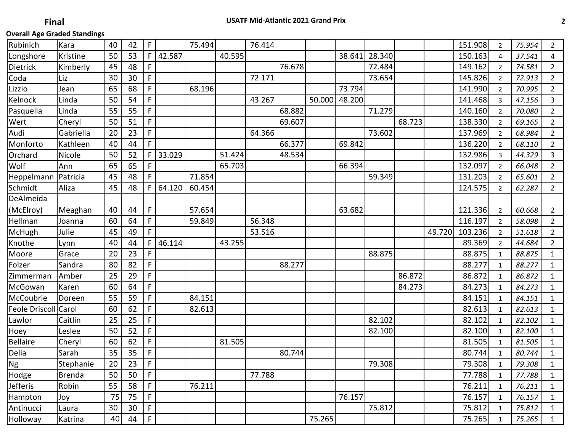| Longshore<br>Kristine<br>50<br>53<br>F.<br>42.587<br>40.595<br>28.340<br>150.163<br>38.641<br>37.541<br>4<br>4<br>F.<br>76.678<br>Dietrick<br>Kimberly<br>45<br>48<br>72.484<br>149.162<br>74.581<br>$\overline{2}$<br>$\overline{2}$<br>Coda<br>30<br>F<br>72.171<br>145.826<br>72.913<br>$\overline{2}$<br>Liz<br>30<br>73.654<br>2<br>F<br>Lizzio<br>65<br>68<br>68.196<br>73.794<br>141.990<br>$\overline{2}$<br>70.995<br>Jean<br>$\overline{2}$<br>F<br>Kelnock<br>Linda<br>50<br>54<br>43.267<br>50.000<br>48.200<br>141.468<br>3<br>47.156<br>3<br>F<br>68.882<br>71.279<br>140.160<br>Pasquella<br>55<br>55<br>70.080<br>$\overline{2}$<br>Linda<br>$\overline{2}$<br>F<br>Wert<br>50<br>51<br>69.607<br>68.723<br>138.330<br>Cheryl<br>69.165<br>$\overline{2}$<br>$\overline{2}$<br>F<br>64.366<br>73.602<br>20<br>137.969<br>Audi<br>Gabriella<br>23<br>68.984<br>$\overline{2}$<br>$\overline{2}$<br>F<br>Monforto<br>Kathleen<br>40<br>66.377<br>69.842<br>136.220<br>44<br>$\overline{2}$<br>68.110<br>$\overline{2}$<br>33.029<br>51.424<br>Orchard<br>50<br>52<br>F<br>132.986<br>3<br>Nicole<br>48.534<br>44.329<br>3<br>65<br>F<br>65.703<br>66.394<br>132.097<br>Wolf<br>65<br>66.048<br>$\overline{2}$<br>Ann<br>$\overline{2}$<br>F.<br>71.854<br>131.203<br>Heppelmann<br>Patricia<br>45<br>48<br>59.349<br>$\overline{2}$<br>65.601<br>$\overline{2}$<br>Schmidt<br>64.120<br>45<br>48<br>F<br>60.454<br>124.575<br>Aliza<br>$\overline{2}$<br>62.287<br>2<br>DeAlmeida<br>(McElroy)<br>57.654<br>121.336<br>Meaghan<br>40<br>44<br>F<br>63.682<br>60.668<br>$\overline{2}$<br>$\overline{2}$<br>F.<br>Hellman<br>56.348<br>116.197<br>60<br>64<br>59.849<br>58.098<br>Joanna<br>$\overline{2}$<br>2<br>F<br>45<br>53.516<br>49.720<br>103.236<br>Julie<br>McHugh<br>49<br>51.618<br>$\overline{2}$<br>$\overline{2}$<br>F.<br>46.114<br>Knothe<br>40<br>44<br>43.255<br>89.369<br>44.684<br>$\overline{2}$<br>Lynn<br>$\overline{2}$<br>F<br>23<br>88.875<br>88.875<br>Moore<br>20<br>Grace<br>88.875<br>$\mathbf{1}$<br>1<br>80<br>82<br>F<br>88.277<br>88.277<br>Folzer<br>Sandra<br>88.277<br>$\mathbf{1}$<br>$\mathbf{1}$<br>F<br>29<br>86.872<br>25<br>86.872<br>Amber<br>86.872<br>Zimmerman<br>$\mathbf{1}$<br>1<br>F<br>McGowan<br>60<br>84.273<br>64<br>84.273<br>84.273<br>Karen<br>$\mathbf{1}$<br>$\mathbf{1}$<br>F<br>84.151<br>84.151<br>McCoubrie<br>55<br>59<br>84.151<br>Doreen<br>$\mathbf{1}$<br>1<br>F<br>Feole Driscoll Carol<br>60<br>62<br>82.613<br>82.613<br>82.613<br>$\mathbf{1}$<br>1<br>F<br>Caitlin<br>82.102<br>Lawlor<br>25<br>25<br>82.102<br>82.102<br>$\mathbf{1}$<br>1<br>F<br>50<br>82.100<br>Hoey<br>Leslee<br>52<br>82.100<br>82.100<br>$\mathbf{1}$<br>1<br><b>Bellaire</b><br>F<br>Cheryl<br>60<br>62<br>81.505<br>81.505<br>81.505<br>$\mathbf{1}$<br>1<br>F<br>Delia<br>35<br>35<br>Sarah<br>80.744<br>80.744<br>80.744<br>$\mathbf{1}$<br>$\mathbf{1}$<br>$\overline{F}$<br>23<br>20<br>79.308<br>79.308<br>Stephanie<br>79.308<br>$\mathbf 1$<br>$\mathbf{1}$<br>$\overline{F}$<br>77.788<br>50<br>50<br>77.788<br><b>Brenda</b><br>77.788<br>$\mathbf{1}$<br>$\mathbf{1}$<br>F.<br>55<br>58<br>76.211<br>76.211<br>Robin<br>76.211<br>$\mathbf{1}$<br>$\mathbf{1}$<br>F.<br>75<br>76.157<br>76.157<br>75<br>Hampton<br>76.157<br>Joy<br>$\mathbf{1}$<br>$\mathbf{1}$<br>F<br>30<br>75.812<br>75.812<br>30<br>Antinucci<br>75.812<br>Laura<br>$\mathbf{1}$<br>$\mathbf{1}$<br>F.<br>75.265<br>75.265<br>40<br>Katrina<br>44<br>75.265<br>$\mathbf{1}$<br>$\mathbf{1}$ | Rubinich | Kara | 40 | 42 | F | 75.494 | 76.414 |  |  |  | 151.908 | $\overline{2}$ | 75.954 | $\overline{2}$ |
|---------------------------------------------------------------------------------------------------------------------------------------------------------------------------------------------------------------------------------------------------------------------------------------------------------------------------------------------------------------------------------------------------------------------------------------------------------------------------------------------------------------------------------------------------------------------------------------------------------------------------------------------------------------------------------------------------------------------------------------------------------------------------------------------------------------------------------------------------------------------------------------------------------------------------------------------------------------------------------------------------------------------------------------------------------------------------------------------------------------------------------------------------------------------------------------------------------------------------------------------------------------------------------------------------------------------------------------------------------------------------------------------------------------------------------------------------------------------------------------------------------------------------------------------------------------------------------------------------------------------------------------------------------------------------------------------------------------------------------------------------------------------------------------------------------------------------------------------------------------------------------------------------------------------------------------------------------------------------------------------------------------------------------------------------------------------------------------------------------------------------------------------------------------------------------------------------------------------------------------------------------------------------------------------------------------------------------------------------------------------------------------------------------------------------------------------------------------------------------------------------------------------------------------------------------------------------------------------------------------------------------------------------------------------------------------------------------------------------------------------------------------------------------------------------------------------------------------------------------------------------------------------------------------------------------------------------------------------------------------------------------------------------------------------------------------------------------------------------------------------------------------------------------------------------------------------------------------------------------------------------------------------------------------------------------------------------------------------------------------------------------------------------------------------------------------------------------------------------------------------------------------------------------------------|----------|------|----|----|---|--------|--------|--|--|--|---------|----------------|--------|----------------|
|                                                                                                                                                                                                                                                                                                                                                                                                                                                                                                                                                                                                                                                                                                                                                                                                                                                                                                                                                                                                                                                                                                                                                                                                                                                                                                                                                                                                                                                                                                                                                                                                                                                                                                                                                                                                                                                                                                                                                                                                                                                                                                                                                                                                                                                                                                                                                                                                                                                                                                                                                                                                                                                                                                                                                                                                                                                                                                                                                                                                                                                                                                                                                                                                                                                                                                                                                                                                                                                                                                                                             |          |      |    |    |   |        |        |  |  |  |         |                |        |                |
|                                                                                                                                                                                                                                                                                                                                                                                                                                                                                                                                                                                                                                                                                                                                                                                                                                                                                                                                                                                                                                                                                                                                                                                                                                                                                                                                                                                                                                                                                                                                                                                                                                                                                                                                                                                                                                                                                                                                                                                                                                                                                                                                                                                                                                                                                                                                                                                                                                                                                                                                                                                                                                                                                                                                                                                                                                                                                                                                                                                                                                                                                                                                                                                                                                                                                                                                                                                                                                                                                                                                             |          |      |    |    |   |        |        |  |  |  |         |                |        |                |
|                                                                                                                                                                                                                                                                                                                                                                                                                                                                                                                                                                                                                                                                                                                                                                                                                                                                                                                                                                                                                                                                                                                                                                                                                                                                                                                                                                                                                                                                                                                                                                                                                                                                                                                                                                                                                                                                                                                                                                                                                                                                                                                                                                                                                                                                                                                                                                                                                                                                                                                                                                                                                                                                                                                                                                                                                                                                                                                                                                                                                                                                                                                                                                                                                                                                                                                                                                                                                                                                                                                                             |          |      |    |    |   |        |        |  |  |  |         |                |        |                |
|                                                                                                                                                                                                                                                                                                                                                                                                                                                                                                                                                                                                                                                                                                                                                                                                                                                                                                                                                                                                                                                                                                                                                                                                                                                                                                                                                                                                                                                                                                                                                                                                                                                                                                                                                                                                                                                                                                                                                                                                                                                                                                                                                                                                                                                                                                                                                                                                                                                                                                                                                                                                                                                                                                                                                                                                                                                                                                                                                                                                                                                                                                                                                                                                                                                                                                                                                                                                                                                                                                                                             |          |      |    |    |   |        |        |  |  |  |         |                |        |                |
|                                                                                                                                                                                                                                                                                                                                                                                                                                                                                                                                                                                                                                                                                                                                                                                                                                                                                                                                                                                                                                                                                                                                                                                                                                                                                                                                                                                                                                                                                                                                                                                                                                                                                                                                                                                                                                                                                                                                                                                                                                                                                                                                                                                                                                                                                                                                                                                                                                                                                                                                                                                                                                                                                                                                                                                                                                                                                                                                                                                                                                                                                                                                                                                                                                                                                                                                                                                                                                                                                                                                             |          |      |    |    |   |        |        |  |  |  |         |                |        |                |
|                                                                                                                                                                                                                                                                                                                                                                                                                                                                                                                                                                                                                                                                                                                                                                                                                                                                                                                                                                                                                                                                                                                                                                                                                                                                                                                                                                                                                                                                                                                                                                                                                                                                                                                                                                                                                                                                                                                                                                                                                                                                                                                                                                                                                                                                                                                                                                                                                                                                                                                                                                                                                                                                                                                                                                                                                                                                                                                                                                                                                                                                                                                                                                                                                                                                                                                                                                                                                                                                                                                                             |          |      |    |    |   |        |        |  |  |  |         |                |        |                |
|                                                                                                                                                                                                                                                                                                                                                                                                                                                                                                                                                                                                                                                                                                                                                                                                                                                                                                                                                                                                                                                                                                                                                                                                                                                                                                                                                                                                                                                                                                                                                                                                                                                                                                                                                                                                                                                                                                                                                                                                                                                                                                                                                                                                                                                                                                                                                                                                                                                                                                                                                                                                                                                                                                                                                                                                                                                                                                                                                                                                                                                                                                                                                                                                                                                                                                                                                                                                                                                                                                                                             |          |      |    |    |   |        |        |  |  |  |         |                |        |                |
|                                                                                                                                                                                                                                                                                                                                                                                                                                                                                                                                                                                                                                                                                                                                                                                                                                                                                                                                                                                                                                                                                                                                                                                                                                                                                                                                                                                                                                                                                                                                                                                                                                                                                                                                                                                                                                                                                                                                                                                                                                                                                                                                                                                                                                                                                                                                                                                                                                                                                                                                                                                                                                                                                                                                                                                                                                                                                                                                                                                                                                                                                                                                                                                                                                                                                                                                                                                                                                                                                                                                             |          |      |    |    |   |        |        |  |  |  |         |                |        |                |
|                                                                                                                                                                                                                                                                                                                                                                                                                                                                                                                                                                                                                                                                                                                                                                                                                                                                                                                                                                                                                                                                                                                                                                                                                                                                                                                                                                                                                                                                                                                                                                                                                                                                                                                                                                                                                                                                                                                                                                                                                                                                                                                                                                                                                                                                                                                                                                                                                                                                                                                                                                                                                                                                                                                                                                                                                                                                                                                                                                                                                                                                                                                                                                                                                                                                                                                                                                                                                                                                                                                                             |          |      |    |    |   |        |        |  |  |  |         |                |        |                |
|                                                                                                                                                                                                                                                                                                                                                                                                                                                                                                                                                                                                                                                                                                                                                                                                                                                                                                                                                                                                                                                                                                                                                                                                                                                                                                                                                                                                                                                                                                                                                                                                                                                                                                                                                                                                                                                                                                                                                                                                                                                                                                                                                                                                                                                                                                                                                                                                                                                                                                                                                                                                                                                                                                                                                                                                                                                                                                                                                                                                                                                                                                                                                                                                                                                                                                                                                                                                                                                                                                                                             |          |      |    |    |   |        |        |  |  |  |         |                |        |                |
|                                                                                                                                                                                                                                                                                                                                                                                                                                                                                                                                                                                                                                                                                                                                                                                                                                                                                                                                                                                                                                                                                                                                                                                                                                                                                                                                                                                                                                                                                                                                                                                                                                                                                                                                                                                                                                                                                                                                                                                                                                                                                                                                                                                                                                                                                                                                                                                                                                                                                                                                                                                                                                                                                                                                                                                                                                                                                                                                                                                                                                                                                                                                                                                                                                                                                                                                                                                                                                                                                                                                             |          |      |    |    |   |        |        |  |  |  |         |                |        |                |
|                                                                                                                                                                                                                                                                                                                                                                                                                                                                                                                                                                                                                                                                                                                                                                                                                                                                                                                                                                                                                                                                                                                                                                                                                                                                                                                                                                                                                                                                                                                                                                                                                                                                                                                                                                                                                                                                                                                                                                                                                                                                                                                                                                                                                                                                                                                                                                                                                                                                                                                                                                                                                                                                                                                                                                                                                                                                                                                                                                                                                                                                                                                                                                                                                                                                                                                                                                                                                                                                                                                                             |          |      |    |    |   |        |        |  |  |  |         |                |        |                |
|                                                                                                                                                                                                                                                                                                                                                                                                                                                                                                                                                                                                                                                                                                                                                                                                                                                                                                                                                                                                                                                                                                                                                                                                                                                                                                                                                                                                                                                                                                                                                                                                                                                                                                                                                                                                                                                                                                                                                                                                                                                                                                                                                                                                                                                                                                                                                                                                                                                                                                                                                                                                                                                                                                                                                                                                                                                                                                                                                                                                                                                                                                                                                                                                                                                                                                                                                                                                                                                                                                                                             |          |      |    |    |   |        |        |  |  |  |         |                |        |                |
|                                                                                                                                                                                                                                                                                                                                                                                                                                                                                                                                                                                                                                                                                                                                                                                                                                                                                                                                                                                                                                                                                                                                                                                                                                                                                                                                                                                                                                                                                                                                                                                                                                                                                                                                                                                                                                                                                                                                                                                                                                                                                                                                                                                                                                                                                                                                                                                                                                                                                                                                                                                                                                                                                                                                                                                                                                                                                                                                                                                                                                                                                                                                                                                                                                                                                                                                                                                                                                                                                                                                             |          |      |    |    |   |        |        |  |  |  |         |                |        |                |
|                                                                                                                                                                                                                                                                                                                                                                                                                                                                                                                                                                                                                                                                                                                                                                                                                                                                                                                                                                                                                                                                                                                                                                                                                                                                                                                                                                                                                                                                                                                                                                                                                                                                                                                                                                                                                                                                                                                                                                                                                                                                                                                                                                                                                                                                                                                                                                                                                                                                                                                                                                                                                                                                                                                                                                                                                                                                                                                                                                                                                                                                                                                                                                                                                                                                                                                                                                                                                                                                                                                                             |          |      |    |    |   |        |        |  |  |  |         |                |        |                |
|                                                                                                                                                                                                                                                                                                                                                                                                                                                                                                                                                                                                                                                                                                                                                                                                                                                                                                                                                                                                                                                                                                                                                                                                                                                                                                                                                                                                                                                                                                                                                                                                                                                                                                                                                                                                                                                                                                                                                                                                                                                                                                                                                                                                                                                                                                                                                                                                                                                                                                                                                                                                                                                                                                                                                                                                                                                                                                                                                                                                                                                                                                                                                                                                                                                                                                                                                                                                                                                                                                                                             |          |      |    |    |   |        |        |  |  |  |         |                |        |                |
|                                                                                                                                                                                                                                                                                                                                                                                                                                                                                                                                                                                                                                                                                                                                                                                                                                                                                                                                                                                                                                                                                                                                                                                                                                                                                                                                                                                                                                                                                                                                                                                                                                                                                                                                                                                                                                                                                                                                                                                                                                                                                                                                                                                                                                                                                                                                                                                                                                                                                                                                                                                                                                                                                                                                                                                                                                                                                                                                                                                                                                                                                                                                                                                                                                                                                                                                                                                                                                                                                                                                             |          |      |    |    |   |        |        |  |  |  |         |                |        |                |
|                                                                                                                                                                                                                                                                                                                                                                                                                                                                                                                                                                                                                                                                                                                                                                                                                                                                                                                                                                                                                                                                                                                                                                                                                                                                                                                                                                                                                                                                                                                                                                                                                                                                                                                                                                                                                                                                                                                                                                                                                                                                                                                                                                                                                                                                                                                                                                                                                                                                                                                                                                                                                                                                                                                                                                                                                                                                                                                                                                                                                                                                                                                                                                                                                                                                                                                                                                                                                                                                                                                                             |          |      |    |    |   |        |        |  |  |  |         |                |        |                |
|                                                                                                                                                                                                                                                                                                                                                                                                                                                                                                                                                                                                                                                                                                                                                                                                                                                                                                                                                                                                                                                                                                                                                                                                                                                                                                                                                                                                                                                                                                                                                                                                                                                                                                                                                                                                                                                                                                                                                                                                                                                                                                                                                                                                                                                                                                                                                                                                                                                                                                                                                                                                                                                                                                                                                                                                                                                                                                                                                                                                                                                                                                                                                                                                                                                                                                                                                                                                                                                                                                                                             |          |      |    |    |   |        |        |  |  |  |         |                |        |                |
|                                                                                                                                                                                                                                                                                                                                                                                                                                                                                                                                                                                                                                                                                                                                                                                                                                                                                                                                                                                                                                                                                                                                                                                                                                                                                                                                                                                                                                                                                                                                                                                                                                                                                                                                                                                                                                                                                                                                                                                                                                                                                                                                                                                                                                                                                                                                                                                                                                                                                                                                                                                                                                                                                                                                                                                                                                                                                                                                                                                                                                                                                                                                                                                                                                                                                                                                                                                                                                                                                                                                             |          |      |    |    |   |        |        |  |  |  |         |                |        |                |
|                                                                                                                                                                                                                                                                                                                                                                                                                                                                                                                                                                                                                                                                                                                                                                                                                                                                                                                                                                                                                                                                                                                                                                                                                                                                                                                                                                                                                                                                                                                                                                                                                                                                                                                                                                                                                                                                                                                                                                                                                                                                                                                                                                                                                                                                                                                                                                                                                                                                                                                                                                                                                                                                                                                                                                                                                                                                                                                                                                                                                                                                                                                                                                                                                                                                                                                                                                                                                                                                                                                                             |          |      |    |    |   |        |        |  |  |  |         |                |        |                |
|                                                                                                                                                                                                                                                                                                                                                                                                                                                                                                                                                                                                                                                                                                                                                                                                                                                                                                                                                                                                                                                                                                                                                                                                                                                                                                                                                                                                                                                                                                                                                                                                                                                                                                                                                                                                                                                                                                                                                                                                                                                                                                                                                                                                                                                                                                                                                                                                                                                                                                                                                                                                                                                                                                                                                                                                                                                                                                                                                                                                                                                                                                                                                                                                                                                                                                                                                                                                                                                                                                                                             |          |      |    |    |   |        |        |  |  |  |         |                |        |                |
|                                                                                                                                                                                                                                                                                                                                                                                                                                                                                                                                                                                                                                                                                                                                                                                                                                                                                                                                                                                                                                                                                                                                                                                                                                                                                                                                                                                                                                                                                                                                                                                                                                                                                                                                                                                                                                                                                                                                                                                                                                                                                                                                                                                                                                                                                                                                                                                                                                                                                                                                                                                                                                                                                                                                                                                                                                                                                                                                                                                                                                                                                                                                                                                                                                                                                                                                                                                                                                                                                                                                             |          |      |    |    |   |        |        |  |  |  |         |                |        |                |
|                                                                                                                                                                                                                                                                                                                                                                                                                                                                                                                                                                                                                                                                                                                                                                                                                                                                                                                                                                                                                                                                                                                                                                                                                                                                                                                                                                                                                                                                                                                                                                                                                                                                                                                                                                                                                                                                                                                                                                                                                                                                                                                                                                                                                                                                                                                                                                                                                                                                                                                                                                                                                                                                                                                                                                                                                                                                                                                                                                                                                                                                                                                                                                                                                                                                                                                                                                                                                                                                                                                                             |          |      |    |    |   |        |        |  |  |  |         |                |        |                |
|                                                                                                                                                                                                                                                                                                                                                                                                                                                                                                                                                                                                                                                                                                                                                                                                                                                                                                                                                                                                                                                                                                                                                                                                                                                                                                                                                                                                                                                                                                                                                                                                                                                                                                                                                                                                                                                                                                                                                                                                                                                                                                                                                                                                                                                                                                                                                                                                                                                                                                                                                                                                                                                                                                                                                                                                                                                                                                                                                                                                                                                                                                                                                                                                                                                                                                                                                                                                                                                                                                                                             |          |      |    |    |   |        |        |  |  |  |         |                |        |                |
|                                                                                                                                                                                                                                                                                                                                                                                                                                                                                                                                                                                                                                                                                                                                                                                                                                                                                                                                                                                                                                                                                                                                                                                                                                                                                                                                                                                                                                                                                                                                                                                                                                                                                                                                                                                                                                                                                                                                                                                                                                                                                                                                                                                                                                                                                                                                                                                                                                                                                                                                                                                                                                                                                                                                                                                                                                                                                                                                                                                                                                                                                                                                                                                                                                                                                                                                                                                                                                                                                                                                             |          |      |    |    |   |        |        |  |  |  |         |                |        |                |
|                                                                                                                                                                                                                                                                                                                                                                                                                                                                                                                                                                                                                                                                                                                                                                                                                                                                                                                                                                                                                                                                                                                                                                                                                                                                                                                                                                                                                                                                                                                                                                                                                                                                                                                                                                                                                                                                                                                                                                                                                                                                                                                                                                                                                                                                                                                                                                                                                                                                                                                                                                                                                                                                                                                                                                                                                                                                                                                                                                                                                                                                                                                                                                                                                                                                                                                                                                                                                                                                                                                                             |          |      |    |    |   |        |        |  |  |  |         |                |        |                |
|                                                                                                                                                                                                                                                                                                                                                                                                                                                                                                                                                                                                                                                                                                                                                                                                                                                                                                                                                                                                                                                                                                                                                                                                                                                                                                                                                                                                                                                                                                                                                                                                                                                                                                                                                                                                                                                                                                                                                                                                                                                                                                                                                                                                                                                                                                                                                                                                                                                                                                                                                                                                                                                                                                                                                                                                                                                                                                                                                                                                                                                                                                                                                                                                                                                                                                                                                                                                                                                                                                                                             |          |      |    |    |   |        |        |  |  |  |         |                |        |                |
|                                                                                                                                                                                                                                                                                                                                                                                                                                                                                                                                                                                                                                                                                                                                                                                                                                                                                                                                                                                                                                                                                                                                                                                                                                                                                                                                                                                                                                                                                                                                                                                                                                                                                                                                                                                                                                                                                                                                                                                                                                                                                                                                                                                                                                                                                                                                                                                                                                                                                                                                                                                                                                                                                                                                                                                                                                                                                                                                                                                                                                                                                                                                                                                                                                                                                                                                                                                                                                                                                                                                             | Ng       |      |    |    |   |        |        |  |  |  |         |                |        |                |
|                                                                                                                                                                                                                                                                                                                                                                                                                                                                                                                                                                                                                                                                                                                                                                                                                                                                                                                                                                                                                                                                                                                                                                                                                                                                                                                                                                                                                                                                                                                                                                                                                                                                                                                                                                                                                                                                                                                                                                                                                                                                                                                                                                                                                                                                                                                                                                                                                                                                                                                                                                                                                                                                                                                                                                                                                                                                                                                                                                                                                                                                                                                                                                                                                                                                                                                                                                                                                                                                                                                                             | Hodge    |      |    |    |   |        |        |  |  |  |         |                |        |                |
|                                                                                                                                                                                                                                                                                                                                                                                                                                                                                                                                                                                                                                                                                                                                                                                                                                                                                                                                                                                                                                                                                                                                                                                                                                                                                                                                                                                                                                                                                                                                                                                                                                                                                                                                                                                                                                                                                                                                                                                                                                                                                                                                                                                                                                                                                                                                                                                                                                                                                                                                                                                                                                                                                                                                                                                                                                                                                                                                                                                                                                                                                                                                                                                                                                                                                                                                                                                                                                                                                                                                             | Jefferis |      |    |    |   |        |        |  |  |  |         |                |        |                |
|                                                                                                                                                                                                                                                                                                                                                                                                                                                                                                                                                                                                                                                                                                                                                                                                                                                                                                                                                                                                                                                                                                                                                                                                                                                                                                                                                                                                                                                                                                                                                                                                                                                                                                                                                                                                                                                                                                                                                                                                                                                                                                                                                                                                                                                                                                                                                                                                                                                                                                                                                                                                                                                                                                                                                                                                                                                                                                                                                                                                                                                                                                                                                                                                                                                                                                                                                                                                                                                                                                                                             |          |      |    |    |   |        |        |  |  |  |         |                |        |                |
|                                                                                                                                                                                                                                                                                                                                                                                                                                                                                                                                                                                                                                                                                                                                                                                                                                                                                                                                                                                                                                                                                                                                                                                                                                                                                                                                                                                                                                                                                                                                                                                                                                                                                                                                                                                                                                                                                                                                                                                                                                                                                                                                                                                                                                                                                                                                                                                                                                                                                                                                                                                                                                                                                                                                                                                                                                                                                                                                                                                                                                                                                                                                                                                                                                                                                                                                                                                                                                                                                                                                             |          |      |    |    |   |        |        |  |  |  |         |                |        |                |
|                                                                                                                                                                                                                                                                                                                                                                                                                                                                                                                                                                                                                                                                                                                                                                                                                                                                                                                                                                                                                                                                                                                                                                                                                                                                                                                                                                                                                                                                                                                                                                                                                                                                                                                                                                                                                                                                                                                                                                                                                                                                                                                                                                                                                                                                                                                                                                                                                                                                                                                                                                                                                                                                                                                                                                                                                                                                                                                                                                                                                                                                                                                                                                                                                                                                                                                                                                                                                                                                                                                                             | Holloway |      |    |    |   |        |        |  |  |  |         |                |        |                |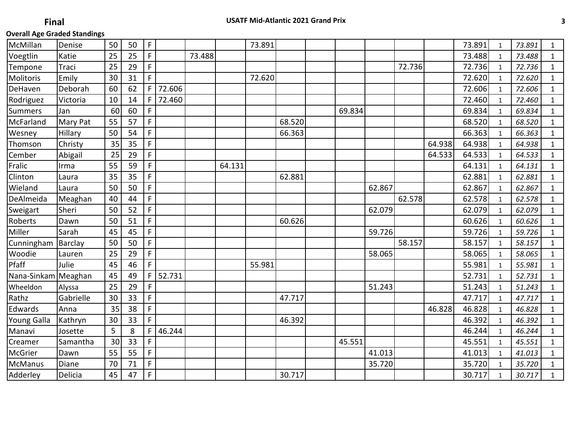| McMillan            | Denise    | 50 | 50 | F           |        |        |        | 73.891 |        |        |        |        |        | 73.891 | $\mathbf{1}$ | 73.891 | $\mathbf{1}$ |
|---------------------|-----------|----|----|-------------|--------|--------|--------|--------|--------|--------|--------|--------|--------|--------|--------------|--------|--------------|
| Voegtlin            | Katie     | 25 | 25 | F.          |        | 73.488 |        |        |        |        |        |        |        | 73.488 | $\mathbf{1}$ | 73.488 | $\mathbf{1}$ |
| Tempone             | Traci     | 25 | 29 | F           |        |        |        |        |        |        |        | 72.736 |        | 72.736 | $\mathbf{1}$ | 72.736 | $\mathbf{1}$ |
| Molitoris           | Emily     | 30 | 31 | F.          |        |        |        | 72.620 |        |        |        |        |        | 72.620 | $\mathbf{1}$ | 72.620 | $\mathbf{1}$ |
| DeHaven             | Deborah   | 60 | 62 | F           | 72.606 |        |        |        |        |        |        |        |        | 72.606 | $\mathbf{1}$ | 72.606 | $\mathbf{1}$ |
| Rodriguez           | Victoria  | 10 | 14 | F           | 72.460 |        |        |        |        |        |        |        |        | 72.460 | $\mathbf{1}$ | 72.460 | $\mathbf{1}$ |
| Summers             | Jan       | 60 | 60 | F           |        |        |        |        |        | 69.834 |        |        |        | 69.834 | 1            | 69.834 | $\mathbf 1$  |
| McFarland           | Mary Pat  | 55 | 57 | F.          |        |        |        |        | 68.520 |        |        |        |        | 68.520 | 1            | 68.520 | $\mathbf{1}$ |
| <b>Wesney</b>       | Hillary   | 50 | 54 | F           |        |        |        |        | 66.363 |        |        |        |        | 66.363 | 1            | 66.363 | $\mathbf{1}$ |
| Thomson             | Christy   | 35 | 35 | $\mathsf F$ |        |        |        |        |        |        |        |        | 64.938 | 64.938 | $\mathbf{1}$ | 64.938 | $\mathbf{1}$ |
| Cember              | Abigail   | 25 | 29 | F.          |        |        |        |        |        |        |        |        | 64.533 | 64.533 | 1            | 64.533 | $\mathbf{1}$ |
| Fralic              | Irma      | 55 | 59 | $\mathsf F$ |        |        | 64.131 |        |        |        |        |        |        | 64.131 | $\mathbf{1}$ | 64.131 | $\mathbf{1}$ |
| Clinton             | Laura     | 35 | 35 | $\mathsf F$ |        |        |        |        | 62.881 |        |        |        |        | 62.881 | 1            | 62.881 | $\mathbf{1}$ |
| Wieland             | Laura     | 50 | 50 | F.          |        |        |        |        |        |        | 62.867 |        |        | 62.867 | 1            | 62.867 | $\mathbf{1}$ |
| DeAlmeida           | Meaghan   | 40 | 44 | $\mathsf F$ |        |        |        |        |        |        |        | 62.578 |        | 62.578 | $\mathbf{1}$ | 62.578 | $\mathbf{1}$ |
| Sweigart            | Sheri     | 50 | 52 | F           |        |        |        |        |        |        | 62.079 |        |        | 62.079 | $\mathbf{1}$ | 62.079 | $\mathbf{1}$ |
| Roberts             | Dawn      | 50 | 51 | F           |        |        |        |        | 60.626 |        |        |        |        | 60.626 | $\mathbf{1}$ | 60.626 | $\mathbf{1}$ |
| Miller              | Sarah     | 45 | 45 | $\mathsf F$ |        |        |        |        |        |        | 59.726 |        |        | 59.726 | 1            | 59.726 | $\mathbf{1}$ |
| Cunningham          | Barclay   | 50 | 50 | F.          |        |        |        |        |        |        |        | 58.157 |        | 58.157 | $\mathbf{1}$ | 58.157 | $\mathbf{1}$ |
| Woodie              | Lauren    | 25 | 29 | F           |        |        |        |        |        |        | 58.065 |        |        | 58.065 | $\mathbf{1}$ | 58.065 | $\mathbf{1}$ |
| Pfaff               | Julie     | 45 | 46 | F           |        |        |        | 55.981 |        |        |        |        |        | 55.981 | $\mathbf{1}$ | 55.981 | $\mathbf{1}$ |
| Nana-Sinkam Meaghan |           | 45 | 49 | F           | 52.731 |        |        |        |        |        |        |        |        | 52.731 | $\mathbf{1}$ | 52.731 | $\mathbf{1}$ |
| Wheeldon            | Alyssa    | 25 | 29 | $\mathsf F$ |        |        |        |        |        |        | 51.243 |        |        | 51.243 | $\mathbf{1}$ | 51.243 | $\mathbf{1}$ |
| Rathz               | Gabrielle | 30 | 33 | F           |        |        |        |        | 47.717 |        |        |        |        | 47.717 | $\mathbf{1}$ | 47.717 | $\mathbf{1}$ |
| Edwards             | Anna      | 35 | 38 | F.          |        |        |        |        |        |        |        |        | 46.828 | 46.828 | $\mathbf{1}$ | 46.828 | $\mathbf{1}$ |
| Young Galla         | Kathryn   | 30 | 33 | F           |        |        |        |        | 46.392 |        |        |        |        | 46.392 | $\mathbf{1}$ | 46.392 | $\mathbf{1}$ |
| Manavi              | Josette   | 5  | 8  | F           | 46.244 |        |        |        |        |        |        |        |        | 46.244 | $\mathbf{1}$ | 46.244 | $\mathbf{1}$ |
| Creamer             | Samantha  | 30 | 33 | F           |        |        |        |        |        | 45.551 |        |        |        | 45.551 | $\mathbf{1}$ | 45.551 | $\mathbf{1}$ |
| McGrier             | Dawn      | 55 | 55 | F.          |        |        |        |        |        |        | 41.013 |        |        | 41.013 | $\mathbf{1}$ | 41.013 | $\mathbf{1}$ |
| McManus             | Diane     | 70 | 71 | F.          |        |        |        |        |        |        | 35.720 |        |        | 35.720 | $\mathbf{1}$ | 35.720 | $\mathbf{1}$ |
| Adderley            | Delicia   | 45 | 47 | $\mathsf F$ |        |        |        |        | 30.717 |        |        |        |        | 30.717 | $\mathbf{1}$ | 30.717 | $\mathbf{1}$ |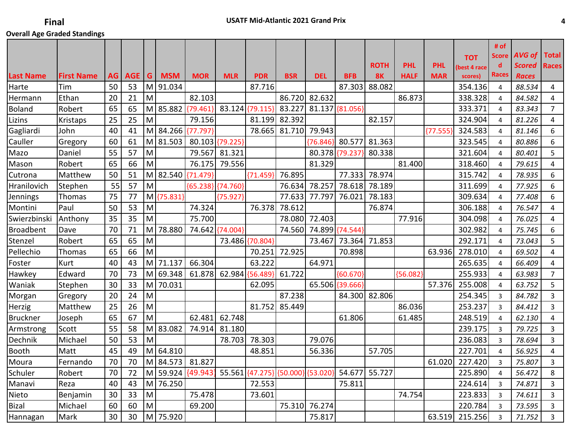|                  |                   |    |     |   |            |                       |                 |                                   |            |            |                 |               |             |            |                         | # of<br><b>Score</b> | <b>AVG of</b> | <b>Total</b>   |
|------------------|-------------------|----|-----|---|------------|-----------------------|-----------------|-----------------------------------|------------|------------|-----------------|---------------|-------------|------------|-------------------------|----------------------|---------------|----------------|
|                  |                   |    |     |   |            |                       |                 |                                   |            |            |                 | <b>ROTH</b>   | <b>PHL</b>  | <b>PHL</b> | <b>TOT</b>              | d                    | <b>Scored</b> | <b>Races</b>   |
| <b>Last Name</b> | <b>First Name</b> | AG | AGE | G | <b>MSM</b> | <b>MOR</b>            | <b>MLR</b>      | <b>PDR</b>                        | <b>BSR</b> | <b>DEL</b> | <b>BFB</b>      | <b>8K</b>     | <b>HALF</b> | <b>MAR</b> | (best 4 race<br>scores) | <b>Races</b>         | <b>Races</b>  |                |
| Harte            | Tim               | 50 | 53  |   | M 91.034   |                       |                 | 87.716                            |            |            | 87.303          | 88.082        |             |            | 354.136                 | 4                    | 88.534        | $\overline{4}$ |
| Hermann          | Ethan             | 20 | 21  | M |            | 82.103                |                 |                                   | 86.720     | 82.632     |                 |               | 86.873      |            | 338.328                 | 4                    | 84.582        | 4              |
| <b>Boland</b>    | Robert            | 65 | 65  |   | M 85.882   | ${79.461}$            | 83.124 {79.115} |                                   | 83.227     |            | 81.137 {81.056} |               |             |            | 333.371                 | 4                    | 83.343        | $\overline{7}$ |
| Lizins           | Kristaps          | 25 | 25  | M |            | 79.156                |                 | 81.199                            | 82.392     |            |                 | 82.157        |             |            | 324.904                 | 4                    | 81.226        | 4              |
| Gagliardi        | John              | 40 | 41  |   | M 84.266   | ${77.797}$            |                 | 78.665                            | 81.710     | 79.943     |                 |               |             | ${77.555}$ | 324.583                 | $\overline{4}$       | 81.146        | 6              |
| Cauller          | Gregory           | 60 | 61  |   | M 81.503   |                       | 80.103 {79.225} |                                   |            | ${76.846}$ | 80.577          | 81.363        |             |            | 323.545                 | 4                    | 80.886        | 6              |
| Mazo             | Daniel            | 55 | 57  | M |            | 79.567                | 81.321          |                                   |            |            | 80.378 {79.237} | 80.338        |             |            | 321.604                 | 4                    | 80.401        | 5              |
| Mason            | Robert            | 65 | 66  | M |            | 76.175                | 79.556          |                                   |            | 81.329     |                 |               | 81.400      |            | 318.460                 | $\overline{4}$       | 79.615        | 4              |
| Cutrona          | Matthew           | 50 | 51  |   |            | M 82.540 {71.479}     |                 | ${71.459}$                        | 76.895     |            | 77.333          | 78.974        |             |            | 315.742                 | 4                    | 78.935        | 6              |
| Hranilovich      | Stephen           | 55 | 57  | M |            | ${65.238}$ ${74.760}$ |                 |                                   | 76.634     | 78.257     | 78.618          | 78.189        |             |            | 311.699                 | $\overline{4}$       | 77.925        | 6              |
| Jennings         | Thomas            | 75 | 77  |   | M {75.831} |                       | ${75.927}$      |                                   | 77.633     | 77.797     | 76.021          | 78.183        |             |            | 309.634                 | 4                    | 77.408        | 6              |
| Montini          | Paul              | 50 | 53  | M |            | 74.324                |                 | 76.378                            | 78.612     |            |                 | 76.874        |             |            | 306.188                 | $\overline{4}$       | 76.547        | 4              |
| Swierzbinski     | Anthony           | 35 | 35  | M |            | 75.700                |                 |                                   | 78.080     | 72.403     |                 |               | 77.916      |            | 304.098                 | 4                    | 76.025        | 4              |
| <b>Broadbent</b> | Dave              | 70 | 71  |   | M 78.880   | 74.642                | ${74.004}$      |                                   | 74.560     |            | 74.899 {74.544} |               |             |            | 302.982                 | 4                    | 75.745        | 6              |
| Stenzel          | Robert            | 65 | 65  | M |            |                       |                 | 73.486 {70.804}                   |            | 73.467     | 73.364          | 71.853        |             |            | 292.171                 | 4                    | 73.043        | 5              |
| Pellechio        | Thomas            | 65 | 66  | M |            |                       |                 | 70.251                            | 72.925     |            | 70.898          |               |             | 63.936     | 278.010                 | 4                    | 69.502        | 4              |
| Foster           | Kurt              | 40 | 43  |   | M 71.137   | 66.304                |                 | 63.222                            |            | 64.971     |                 |               |             |            | 265.635                 | 4                    | 66.409        | 4              |
| Hawkey           | Edward            | 70 | 73  |   | M 69.348   |                       | 61.878 62.984   | ${56.489}$                        | 61.722     |            | ${60.670}$      |               | ${56.082}$  |            | 255.933                 | 4                    | 63.983        | $\overline{7}$ |
| Waniak           | Stephen           | 30 | 33  |   | M 70.031   |                       |                 | 62.095                            |            |            | 65.506 {39.666} |               |             | 57.376     | 255.008                 | 4                    | 63.752        | 5              |
| Morgan           | Gregory           | 20 | 24  | M |            |                       |                 |                                   | 87.238     |            |                 | 84.300 82.806 |             |            | 254.345                 | 3                    | 84.782        | 3              |
| Herzig           | Matthew           | 25 | 26  | M |            |                       |                 | 81.752                            | 85.449     |            |                 |               | 86.036      |            | 253.237                 | 3                    | 84.412        | 3              |
| <b>Bruckner</b>  | Joseph            | 65 | 67  | M |            | 62.481                | 62.748          |                                   |            |            | 61.806          |               | 61.485      |            | 248.519                 | 4                    | 62.130        | 4              |
| Armstrong        | Scott             | 55 | 58  |   | M 83.082   | 74.914                | 81.180          |                                   |            |            |                 |               |             |            | 239.175                 | 3                    | 79.725        | 3              |
| Dechnik          | Michael           | 50 | 53  | M |            |                       | 78.703          | 78.303                            |            | 79.076     |                 |               |             |            | 236.083                 | 3                    | 78.694        | 3              |
| <b>Booth</b>     | Matt              | 45 | 49  |   | $M$ 64.810 |                       |                 | 48.851                            |            | 56.336     |                 | 57.705        |             |            | 227.701                 | 4                    | 56.925        | 4              |
| Moura            | Fernando          | 70 | 70  |   |            | M 84.573 81.827       |                 |                                   |            |            |                 |               |             | 61.020     | 227.420                 | 3                    | 75.807        | $\overline{3}$ |
| Schuler          | Robert            | 70 | 72  |   |            | M 59.924 {49.943}     |                 | 55.561 {47.275} {50.000} {53.020} |            |            |                 | 54.677 55.727 |             |            | 225.890                 | $\overline{4}$       | 56.472        | 8              |
| Manavi           | Reza              | 40 | 43  |   | M 76.250   |                       |                 | 72.553                            |            |            | 75.811          |               |             |            | 224.614                 | 3                    | 74.871        | 3              |
| Nieto            | Benjamin          | 30 | 33  | M |            | 75.478                |                 | 73.601                            |            |            |                 |               | 74.754      |            | 223.833                 | 3                    | 74.611        | 3              |
| Bizal            | Michael           | 60 | 60  | M |            | 69.200                |                 |                                   | 75.310     | 76.274     |                 |               |             |            | 220.784                 | $\overline{3}$       | 73.595        | 3              |
| Hannagan         | Mark              | 30 | 30  |   | M 75.920   |                       |                 |                                   |            | 75.817     |                 |               |             | 63.519     | 215.256                 | $\overline{3}$       | 71.752        | 3              |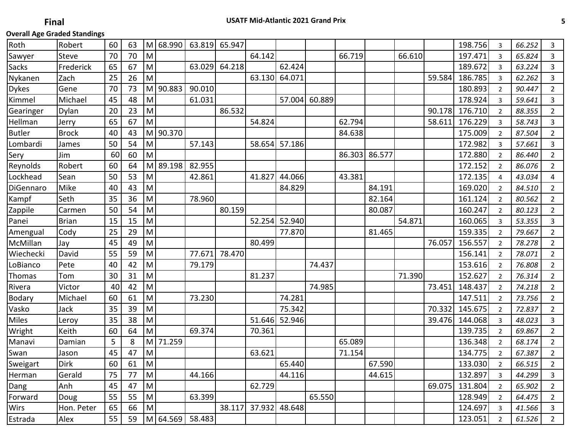| Robert       | 60 | 63 |                                                                                                            |        |                                               | 65.947               |                                               |        |                                                    |                            |        |        |        | 198.756 | 3              | 66.252  | 3              |
|--------------|----|----|------------------------------------------------------------------------------------------------------------|--------|-----------------------------------------------|----------------------|-----------------------------------------------|--------|----------------------------------------------------|----------------------------|--------|--------|--------|---------|----------------|---------|----------------|
| <b>Steve</b> | 70 | 70 | M                                                                                                          |        |                                               |                      | 64.142                                        |        |                                                    | 66.719                     |        | 66.610 |        | 197.471 | 3              | 65.824  | 3              |
| Frederick    | 65 | 67 | M                                                                                                          |        | 63.029                                        | 64.218               |                                               | 62.424 |                                                    |                            |        |        |        | 189.672 | 3              | 63.224  | 3              |
| Zach         | 25 | 26 | M                                                                                                          |        |                                               |                      | 63.130                                        | 64.071 |                                                    |                            |        |        | 59.584 | 186.785 | 3              | 62.262  | 3              |
| Gene         | 70 | 73 |                                                                                                            |        | 90.010                                        |                      |                                               |        |                                                    |                            |        |        |        | 180.893 | $\overline{2}$ | 90.447  | $\overline{2}$ |
| Michael      | 45 | 48 | M                                                                                                          |        | 61.031                                        |                      |                                               |        | 60.889                                             |                            |        |        |        | 178.924 | $\overline{3}$ | 59.641  | 3              |
| Dylan        | 20 | 23 | M                                                                                                          |        |                                               | 86.532               |                                               |        |                                                    |                            |        |        | 90.178 | 176.710 | $\overline{2}$ | 88.355  | $\overline{2}$ |
| Jerry        | 65 | 67 | ${\sf M}$                                                                                                  |        |                                               |                      | 54.824                                        |        |                                                    | 62.794                     |        |        | 58.611 | 176.229 | 3              | 58.743  | 3              |
| <b>Brock</b> | 40 | 43 |                                                                                                            |        |                                               |                      |                                               |        |                                                    | 84.638                     |        |        |        | 175.009 | 2              | 87.504  | $\overline{2}$ |
| James        | 50 | 54 | M                                                                                                          |        | 57.143                                        |                      |                                               |        |                                                    |                            |        |        |        | 172.982 | 3              | 57.661  | 3              |
| Jim          | 60 | 60 | M                                                                                                          |        |                                               |                      |                                               |        |                                                    | 86.303                     | 86.577 |        |        | 172.880 | $\overline{2}$ | 86.440  | $\overline{2}$ |
| Robert       | 60 | 64 |                                                                                                            |        | 82.955                                        |                      |                                               |        |                                                    |                            |        |        |        | 172.152 | $\overline{2}$ | 86.076  | $\overline{2}$ |
| Sean         | 50 | 53 | M                                                                                                          |        | 42.861                                        |                      | 41.827                                        | 44.066 |                                                    | 43.381                     |        |        |        | 172.135 | 4              | 43.034  | 4              |
| Mike         | 40 | 43 | $\mathsf{M}% _{T}=\mathsf{M}_{T}\!\left( a,b\right) ,\ \mathsf{M}_{T}=\mathsf{M}_{T}\!\left( a,b\right) ,$ |        |                                               |                      |                                               | 84.829 |                                                    |                            | 84.191 |        |        | 169.020 | $\overline{2}$ | 84.510  | $\overline{2}$ |
| Seth         | 35 | 36 | M                                                                                                          |        | 78.960                                        |                      |                                               |        |                                                    |                            | 82.164 |        |        | 161.124 | $\overline{2}$ | 80.562  | $\overline{2}$ |
| Carmen       | 50 | 54 | M                                                                                                          |        |                                               | 80.159               |                                               |        |                                                    |                            | 80.087 |        |        | 160.247 | $\overline{2}$ | 80.123  | $\overline{2}$ |
| <b>Brian</b> | 15 | 15 | M                                                                                                          |        |                                               |                      | 52.254                                        | 52.940 |                                                    |                            |        | 54.871 |        | 160.065 | 3              | 53.355  | 3              |
| Cody         | 25 | 29 | M                                                                                                          |        |                                               |                      |                                               | 77.870 |                                                    |                            | 81.465 |        |        | 159.335 | $\overline{2}$ | 79.667  | $\overline{2}$ |
| Jay          | 45 | 49 | M                                                                                                          |        |                                               |                      | 80.499                                        |        |                                                    |                            |        |        | 76.057 | 156.557 | $\overline{2}$ | 78.278  | $\overline{2}$ |
| David        | 55 | 59 | M                                                                                                          |        | 77.671                                        | 78.470               |                                               |        |                                                    |                            |        |        |        | 156.141 | 2              | 78.071  | $\overline{2}$ |
| Pete         | 40 | 42 | M                                                                                                          |        | 79.179                                        |                      |                                               |        | 74.437                                             |                            |        |        |        | 153.616 | 2              | 76.808  | $\overline{2}$ |
| Tom          | 30 | 31 | M                                                                                                          |        |                                               |                      | 81.237                                        |        |                                                    |                            |        | 71.390 |        | 152.627 | $\overline{2}$ | 76.314  | $\overline{2}$ |
| Victor       | 40 | 42 | $\mathsf{M}% _{T}=\mathsf{M}_{T}\!\left( a,b\right) ,\ \mathsf{M}_{T}=\mathsf{M}_{T}\!\left( a,b\right) ,$ |        |                                               |                      |                                               |        | 74.985                                             |                            |        |        | 73.451 | 148.437 | 2              | 74.218  | $\overline{2}$ |
| Michael      | 60 | 61 | M                                                                                                          |        | 73.230                                        |                      |                                               | 74.281 |                                                    |                            |        |        |        | 147.511 | $\overline{2}$ | 73.756  | $\overline{2}$ |
| Jack         | 35 | 39 | M                                                                                                          |        |                                               |                      |                                               | 75.342 |                                                    |                            |        |        | 70.332 | 145.675 | $\overline{2}$ | 72.837  | $\overline{2}$ |
| Leroy        | 35 | 38 | M                                                                                                          |        |                                               |                      |                                               | 52.946 |                                                    |                            |        |        | 39.476 | 144.068 | 3              | 48.023  | $\mathsf 3$    |
| Keith        | 60 | 64 | M                                                                                                          |        | 69.374                                        |                      | 70.361                                        |        |                                                    |                            |        |        |        | 139.735 | 2              | 69.867  | $\overline{2}$ |
| Damian       | 5  | 8  |                                                                                                            | 71.259 |                                               |                      |                                               |        |                                                    | 65.089                     |        |        |        | 136.348 | $\overline{2}$ | 68.174  | $\overline{2}$ |
| Jason        | 45 | 47 | M                                                                                                          |        |                                               |                      | 63.621                                        |        |                                                    | 71.154                     |        |        |        | 134.775 | $\overline{2}$ | 67.387  | $\overline{2}$ |
| Dirk         | 60 | 61 |                                                                                                            |        |                                               |                      |                                               |        |                                                    |                            |        |        |        |         | $\overline{2}$ | 66.515  | $\overline{2}$ |
| Gerald       | 75 | 77 | İм                                                                                                         |        |                                               |                      |                                               |        |                                                    |                            | 44.615 |        |        | 132.897 | 3              | 44.299  | 3              |
| Anh          | 45 | 47 | İМ                                                                                                         |        |                                               |                      |                                               |        |                                                    |                            |        |        |        | 131.804 | $\overline{2}$ | 65.902  | $\overline{2}$ |
| Doug         | 55 | 55 | M                                                                                                          |        |                                               |                      |                                               |        |                                                    |                            |        |        |        | 128.949 | $\overline{2}$ | 64.475  | $\overline{2}$ |
| Hon. Peter   | 65 | 66 | M                                                                                                          |        |                                               | 38.117               |                                               |        |                                                    |                            |        |        |        | 124.697 | 3              | 41.566  | 3              |
| Alex         | 55 | 59 |                                                                                                            |        |                                               |                      |                                               |        |                                                    |                            |        |        |        | 123.051 | $\overline{2}$ | 61.526  | $\overline{2}$ |
|              |    |    |                                                                                                            |        | M 90.883<br>M 90.370<br>M.<br>$\vert M \vert$ | M 68.990<br>M 89.198 | 63.819<br>44.166<br>63.399<br>M 64.569 58.483 |        | 58.654 57.186<br>51.646<br>62.729<br>37.932 48.648 | 57.004<br>65.440<br>44.116 | 65.550 |        | 67.590 |         | 69.075         | 133.030 |                |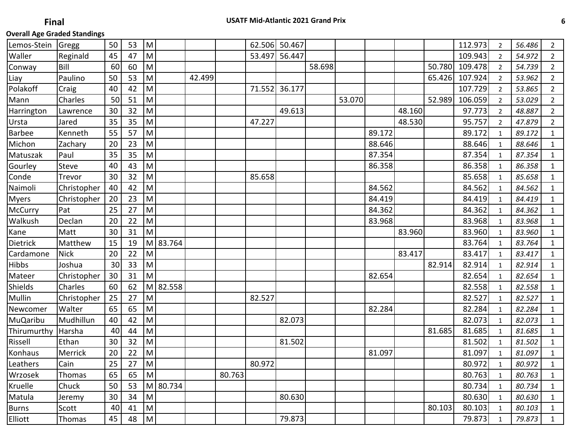| Lemos-Stein     | Gregg       | 50 | 53 | M         |          |        |        |        | 62.506 50.467 |        |        |        |        |        | 112.973 | $\overline{2}$ | 56.486 | $\overline{2}$ |
|-----------------|-------------|----|----|-----------|----------|--------|--------|--------|---------------|--------|--------|--------|--------|--------|---------|----------------|--------|----------------|
| Waller          | Reginald    | 45 | 47 | ${\sf M}$ |          |        |        | 53.497 | 56.447        |        |        |        |        |        | 109.943 | $\overline{2}$ | 54.972 | $\overline{2}$ |
| Conway          | Bill        | 60 | 60 | M         |          |        |        |        |               | 58.698 |        |        |        | 50.780 | 109.478 | $\overline{2}$ | 54.739 | $\overline{2}$ |
| Liay            | Paulino     | 50 | 53 | M         |          | 42.499 |        |        |               |        |        |        |        | 65.426 | 107.924 | $\overline{2}$ | 53.962 | $\overline{2}$ |
| Polakoff        | Craig       | 40 | 42 | M         |          |        |        | 71.552 | 36.177        |        |        |        |        |        | 107.729 | $\overline{2}$ | 53.865 | $\overline{2}$ |
| Mann            | Charles     | 50 | 51 | M         |          |        |        |        |               |        | 53.070 |        |        | 52.989 | 106.059 | $\overline{2}$ | 53.029 | $\overline{2}$ |
| Harrington      | Lawrence    | 30 | 32 | M         |          |        |        |        | 49.613        |        |        |        | 48.160 |        | 97.773  | 2              | 48.887 | $\overline{2}$ |
| Ursta           | Jared       | 35 | 35 | M         |          |        |        | 47.227 |               |        |        |        | 48.530 |        | 95.757  | $\overline{2}$ | 47.879 | $\overline{2}$ |
| Barbee          | Kenneth     | 55 | 57 | ${\sf M}$ |          |        |        |        |               |        |        | 89.172 |        |        | 89.172  | 1              | 89.172 | $\mathbf{1}$   |
| Michon          | Zachary     | 20 | 23 | ${\sf M}$ |          |        |        |        |               |        |        | 88.646 |        |        | 88.646  | 1              | 88.646 | $\mathbf{1}$   |
| Matuszak        | Paul        | 35 | 35 | ${\sf M}$ |          |        |        |        |               |        |        | 87.354 |        |        | 87.354  | 1              | 87.354 | $\mathbf{1}$   |
| Gourley         | Steve       | 40 | 43 | M         |          |        |        |        |               |        |        | 86.358 |        |        | 86.358  | 1              | 86.358 | $\mathbf{1}$   |
| Conde           | Trevor      | 30 | 32 | M         |          |        |        | 85.658 |               |        |        |        |        |        | 85.658  | $\mathbf{1}$   | 85.658 | $\mathbf{1}$   |
| Naimoli         | Christopher | 40 | 42 | M         |          |        |        |        |               |        |        | 84.562 |        |        | 84.562  | 1              | 84.562 | $\mathbf{1}$   |
| <b>Myers</b>    | Christopher | 20 | 23 | M         |          |        |        |        |               |        |        | 84.419 |        |        | 84.419  | 1              | 84.419 | $\mathbf{1}$   |
| <b>McCurry</b>  | Pat         | 25 | 27 | M         |          |        |        |        |               |        |        | 84.362 |        |        | 84.362  | $\mathbf{1}$   | 84.362 | $\mathbf{1}$   |
| Walkush         | Declan      | 20 | 22 | M         |          |        |        |        |               |        |        | 83.968 |        |        | 83.968  | $\mathbf{1}$   | 83.968 | $\mathbf{1}$   |
| Kane            | Matt        | 30 | 31 | M         |          |        |        |        |               |        |        |        | 83.960 |        | 83.960  | $\mathbf{1}$   | 83.960 | $\mathbf{1}$   |
| Dietrick        | Matthew     | 15 | 19 |           | M 83.764 |        |        |        |               |        |        |        |        |        | 83.764  | $\mathbf{1}$   | 83.764 | $\mathbf{1}$   |
| Cardamone       | <b>Nick</b> | 20 | 22 | M         |          |        |        |        |               |        |        |        | 83.417 |        | 83.417  | 1              | 83.417 | $\mathbf{1}$   |
| Hibbs           | Joshua      | 30 | 33 | ${\sf M}$ |          |        |        |        |               |        |        |        |        | 82.914 | 82.914  | $\mathbf{1}$   | 82.914 | $\mathbf{1}$   |
| Mateer          | Christopher | 30 | 31 | ${\sf M}$ |          |        |        |        |               |        |        | 82.654 |        |        | 82.654  | 1              | 82.654 | $\mathbf{1}$   |
| Shields         | Charles     | 60 | 62 |           | M 82.558 |        |        |        |               |        |        |        |        |        | 82.558  | 1              | 82.558 | $\mathbf{1}$   |
| Mullin          | Christopher | 25 | 27 | ${\sf M}$ |          |        |        | 82.527 |               |        |        |        |        |        | 82.527  | 1              | 82.527 | $\mathbf{1}$   |
| Newcomer        | Walter      | 65 | 65 | ${\sf M}$ |          |        |        |        |               |        |        | 82.284 |        |        | 82.284  | 1              | 82.284 | $\mathbf{1}$   |
| <b>MuQaribu</b> | Mudhillun   | 40 | 42 | M         |          |        |        |        | 82.073        |        |        |        |        |        | 82.073  | 1              | 82.073 | $\mathbf{1}$   |
| Thirumurthy     | Harsha      | 40 | 44 | M         |          |        |        |        |               |        |        |        |        | 81.685 | 81.685  | $\mathbf{1}$   | 81.685 | $\mathbf{1}$   |
| Rissell         | Ethan       | 30 | 32 | M         |          |        |        |        | 81.502        |        |        |        |        |        | 81.502  | 1              | 81.502 | $\mathbf{1}$   |
| Konhaus         | Merrick     | 20 | 22 | M         |          |        |        |        |               |        |        | 81.097 |        |        | 81.097  | $\mathbf{1}$   | 81.097 | $\mathbf{1}$   |
| Leathers        | Cain        | 25 | 27 | M         |          |        |        | 80.972 |               |        |        |        |        |        | 80.972  | $\mathbf 1$    | 80.972 | $\mathbf 1$    |
| Wrzosek         | Thomas      | 65 | 65 | M         |          |        | 80.763 |        |               |        |        |        |        |        | 80.763  | $\mathbf{1}$   | 80.763 | 1              |
| Kruelle         | Chuck       | 50 | 53 |           | M 80.734 |        |        |        |               |        |        |        |        |        | 80.734  | $\mathbf{1}$   | 80.734 | 1              |
| Matula          | Jeremy      | 30 | 34 | M         |          |        |        |        | 80.630        |        |        |        |        |        | 80.630  | 1              | 80.630 | $\mathbf{1}$   |
| <b>Burns</b>    | Scott       | 40 | 41 | M         |          |        |        |        |               |        |        |        |        | 80.103 | 80.103  | $\mathbf{1}$   | 80.103 | $\mathbf{1}$   |
| <b>Elliott</b>  | Thomas      | 45 | 48 | M         |          |        |        |        | 79.873        |        |        |        |        |        | 79.873  | 1              | 79.873 | $\mathbf{1}$   |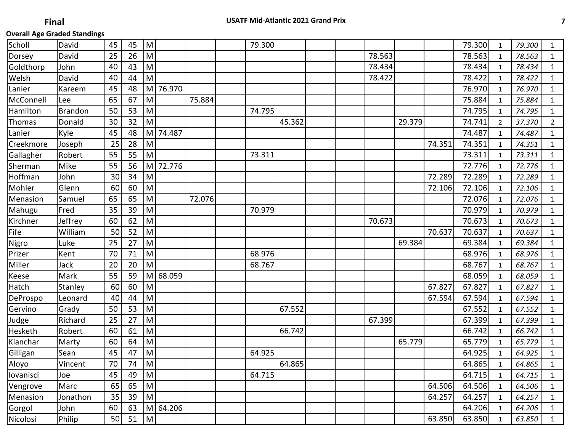| Scholl    | David          | 45 | 45 | M         |            |        | 79.300 |        |  |        |        |        | 79.300 | $\mathbf{1}$   | 79.300 | $\mathbf{1}$   |
|-----------|----------------|----|----|-----------|------------|--------|--------|--------|--|--------|--------|--------|--------|----------------|--------|----------------|
| Dorsey    | David          | 25 | 26 | M         |            |        |        |        |  | 78.563 |        |        | 78.563 | 1              | 78.563 | 1              |
| Goldthorp | John           | 40 | 43 | M         |            |        |        |        |  | 78.434 |        |        | 78.434 | $\mathbf{1}$   | 78.434 | $\mathbf{1}$   |
| Welsh     | David          | 40 | 44 | M         |            |        |        |        |  | 78.422 |        |        | 78.422 | $\mathbf{1}$   | 78.422 | $\mathbf{1}$   |
| Lanier    | Kareem         | 45 | 48 | M         | 76.970     |        |        |        |  |        |        |        | 76.970 | $\mathbf{1}$   | 76.970 | $\mathbf{1}$   |
| McConnell | Lee            | 65 | 67 | M         |            | 75.884 |        |        |  |        |        |        | 75.884 | $\mathbf{1}$   | 75.884 | $\mathbf{1}$   |
| Hamilton  | <b>Brandon</b> | 50 | 53 | M         |            |        | 74.795 |        |  |        |        |        | 74.795 | 1              | 74.795 | $\mathbf 1$    |
| Thomas    | Donald         | 30 | 32 | M         |            |        |        | 45.362 |  |        | 29.379 |        | 74.741 | $\overline{2}$ | 37.370 | $\overline{2}$ |
| Lanier    | Kyle           | 45 | 48 | M         | 74.487     |        |        |        |  |        |        |        | 74.487 | $\mathbf{1}$   | 74.487 | $\mathbf 1$    |
| Creekmore | Joseph         | 25 | 28 | M         |            |        |        |        |  |        |        | 74.351 | 74.351 | $\mathbf{1}$   | 74.351 | $\mathbf{1}$   |
| Gallagher | Robert         | 55 | 55 | M         |            |        | 73.311 |        |  |        |        |        | 73.311 | $\mathbf{1}$   | 73.311 | $\mathbf{1}$   |
| Sherman   | Mike           | 55 | 56 | M         | 72.776     |        |        |        |  |        |        |        | 72.776 | $\mathbf{1}$   | 72.776 | $\mathbf{1}$   |
| Hoffman   | John           | 30 | 34 | M         |            |        |        |        |  |        |        | 72.289 | 72.289 | 1              | 72.289 | 1              |
| Mohler    | Glenn          | 60 | 60 | M         |            |        |        |        |  |        |        | 72.106 | 72.106 | $\mathbf{1}$   | 72.106 | $1\,$          |
| Menasion  | Samuel         | 65 | 65 | M         |            | 72.076 |        |        |  |        |        |        | 72.076 | 1              | 72.076 | $\mathbf{1}$   |
| Mahugu    | Fred           | 35 | 39 | M         |            |        | 70.979 |        |  |        |        |        | 70.979 | $\mathbf{1}$   | 70.979 | $\mathbf{1}$   |
| Kirchner  | Jeffrey        | 60 | 62 | M         |            |        |        |        |  | 70.673 |        |        | 70.673 | $\mathbf{1}$   | 70.673 | $\mathbf{1}$   |
| Fife      | William        | 50 | 52 | M         |            |        |        |        |  |        |        | 70.637 | 70.637 | $\mathbf{1}$   | 70.637 | $\mathbf{1}$   |
| Nigro     | Luke           | 25 | 27 | M         |            |        |        |        |  |        | 69.384 |        | 69.384 | 1              | 69.384 | $1\,$          |
| Prizer    | Kent           | 70 | 71 | M         |            |        | 68.976 |        |  |        |        |        | 68.976 | $\mathbf{1}$   | 68.976 | $\mathbf 1$    |
| Miller    | Jack           | 20 | 20 | M         |            |        | 68.767 |        |  |        |        |        | 68.767 | $\mathbf{1}$   | 68.767 | $\mathbf 1$    |
| Keese     | Mark           | 55 | 59 |           | $M$ 68.059 |        |        |        |  |        |        |        | 68.059 | $\mathbf{1}$   | 68.059 | $\mathbf 1$    |
| Hatch     | Stanley        | 60 | 60 | M         |            |        |        |        |  |        |        | 67.827 | 67.827 | $\mathbf{1}$   | 67.827 | $\mathbf{1}$   |
| DeProspo  | Leonard        | 40 | 44 | M         |            |        |        |        |  |        |        | 67.594 | 67.594 | $\mathbf{1}$   | 67.594 | $\mathbf{1}$   |
| Gervino   | Grady          | 50 | 53 | M         |            |        |        | 67.552 |  |        |        |        | 67.552 | $\mathbf{1}$   | 67.552 | $\mathbf{1}$   |
| Judge     | Richard        | 25 | 27 | M         |            |        |        |        |  | 67.399 |        |        | 67.399 | 1              | 67.399 | $\mathbf{1}$   |
| Hesketh   | Robert         | 60 | 61 | M         |            |        |        | 66.742 |  |        |        |        | 66.742 | $\mathbf{1}$   | 66.742 | $\mathbf{1}$   |
| Klanchar  | Marty          | 60 | 64 | M         |            |        |        |        |  |        | 65.779 |        | 65.779 | 1              | 65.779 | $\mathbf{1}$   |
| Gilligan  | Sean           | 45 | 47 | M         |            |        | 64.925 |        |  |        |        |        | 64.925 | $\mathbf{1}$   | 64.925 | $1\,$          |
| Aloyo     | Vincent        | 70 | 74 | M         |            |        |        | 64.865 |  |        |        |        | 64.865 | $\mathbf{1}$   | 64.865 | $\mathbf{1}$   |
| lovanisci | Joe            | 45 | 49 | M         |            |        | 64.715 |        |  |        |        |        | 64.715 | $\mathbf{1}$   | 64.715 | $\mathbf{1}$   |
| Vengrove  | Marc           | 65 | 65 | ${\sf M}$ |            |        |        |        |  |        |        | 64.506 | 64.506 | $\mathbf{1}$   | 64.506 | $\mathbf{1}$   |
| Menasion  | Jonathon       | 35 | 39 | M         |            |        |        |        |  |        |        | 64.257 | 64.257 | $\mathbf{1}$   | 64.257 | $\mathbf{1}$   |
| Gorgol    | John           | 60 | 63 |           | M 64.206   |        |        |        |  |        |        |        | 64.206 | $\mathbf{1}$   | 64.206 | $\mathbf{1}$   |
| Nicolosi  | Philip         | 50 | 51 | M         |            |        |        |        |  |        |        | 63.850 | 63.850 | $\mathbf{1}$   | 63.850 | $\mathbf{1}$   |
|           |                |    |    |           |            |        |        |        |  |        |        |        |        |                |        |                |